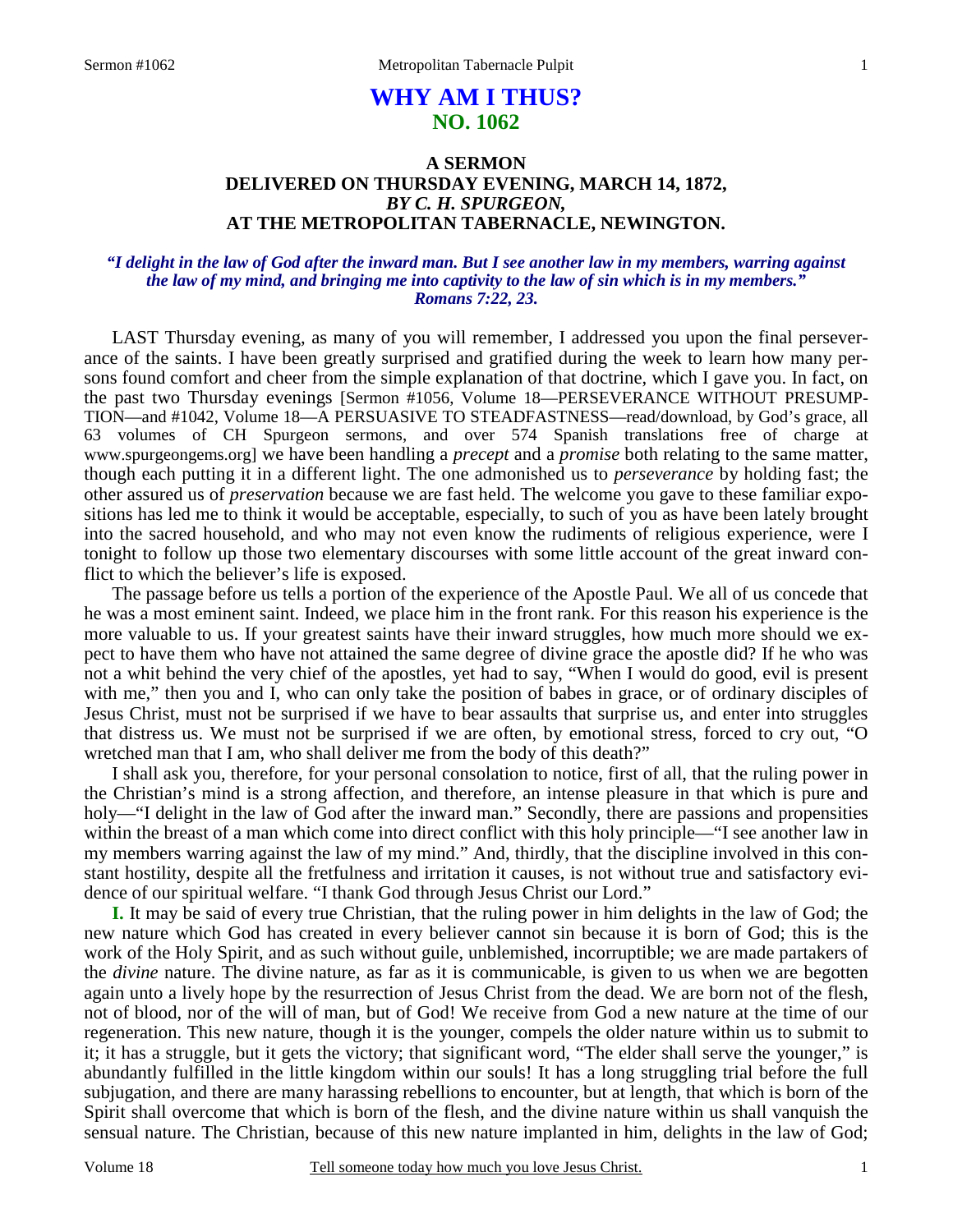# **WHY AM I THUS? NO. 1062**

# **A SERMON DELIVERED ON THURSDAY EVENING, MARCH 14, 1872,**  *BY C. H. SPURGEON,*  **AT THE METROPOLITAN TABERNACLE, NEWINGTON.**

## *"I delight in the law of God after the inward man. But I see another law in my members, warring against the law of my mind, and bringing me into captivity to the law of sin which is in my members." Romans 7:22, 23.*

LAST Thursday evening, as many of you will remember, I addressed you upon the final perseverance of the saints. I have been greatly surprised and gratified during the week to learn how many persons found comfort and cheer from the simple explanation of that doctrine, which I gave you. In fact, on the past two Thursday evenings [Sermon #1056, Volume 18—PERSEVERANCE WITHOUT PRESUMP-TION—and #1042, Volume 18—A PERSUASIVE TO STEADFASTNESS—read/download, by God's grace, all 63 volumes of CH Spurgeon sermons, and over 574 Spanish translations free of charge at www.spurgeongems.org] we have been handling a *precept* and a *promise* both relating to the same matter, though each putting it in a different light. The one admonished us to *perseverance* by holding fast; the other assured us of *preservation* because we are fast held. The welcome you gave to these familiar expositions has led me to think it would be acceptable, especially, to such of you as have been lately brought into the sacred household, and who may not even know the rudiments of religious experience, were I tonight to follow up those two elementary discourses with some little account of the great inward conflict to which the believer's life is exposed.

The passage before us tells a portion of the experience of the Apostle Paul. We all of us concede that he was a most eminent saint. Indeed, we place him in the front rank. For this reason his experience is the more valuable to us. If your greatest saints have their inward struggles, how much more should we expect to have them who have not attained the same degree of divine grace the apostle did? If he who was not a whit behind the very chief of the apostles, yet had to say, "When I would do good, evil is present with me," then you and I, who can only take the position of babes in grace, or of ordinary disciples of Jesus Christ, must not be surprised if we have to bear assaults that surprise us, and enter into struggles that distress us. We must not be surprised if we are often, by emotional stress, forced to cry out, "O wretched man that I am, who shall deliver me from the body of this death?"

I shall ask you, therefore, for your personal consolation to notice, first of all, that the ruling power in the Christian's mind is a strong affection, and therefore, an intense pleasure in that which is pure and holy—"I delight in the law of God after the inward man." Secondly, there are passions and propensities within the breast of a man which come into direct conflict with this holy principle—"I see another law in my members warring against the law of my mind." And, thirdly, that the discipline involved in this constant hostility, despite all the fretfulness and irritation it causes, is not without true and satisfactory evidence of our spiritual welfare. "I thank God through Jesus Christ our Lord."

**I.** It may be said of every true Christian, that the ruling power in him delights in the law of God; the new nature which God has created in every believer cannot sin because it is born of God; this is the work of the Holy Spirit, and as such without guile, unblemished, incorruptible; we are made partakers of the *divine* nature. The divine nature, as far as it is communicable, is given to us when we are begotten again unto a lively hope by the resurrection of Jesus Christ from the dead. We are born not of the flesh, not of blood, nor of the will of man, but of God! We receive from God a new nature at the time of our regeneration. This new nature, though it is the younger, compels the older nature within us to submit to it; it has a struggle, but it gets the victory; that significant word, "The elder shall serve the younger," is abundantly fulfilled in the little kingdom within our souls! It has a long struggling trial before the full subjugation, and there are many harassing rebellions to encounter, but at length, that which is born of the Spirit shall overcome that which is born of the flesh, and the divine nature within us shall vanquish the sensual nature. The Christian, because of this new nature implanted in him, delights in the law of God;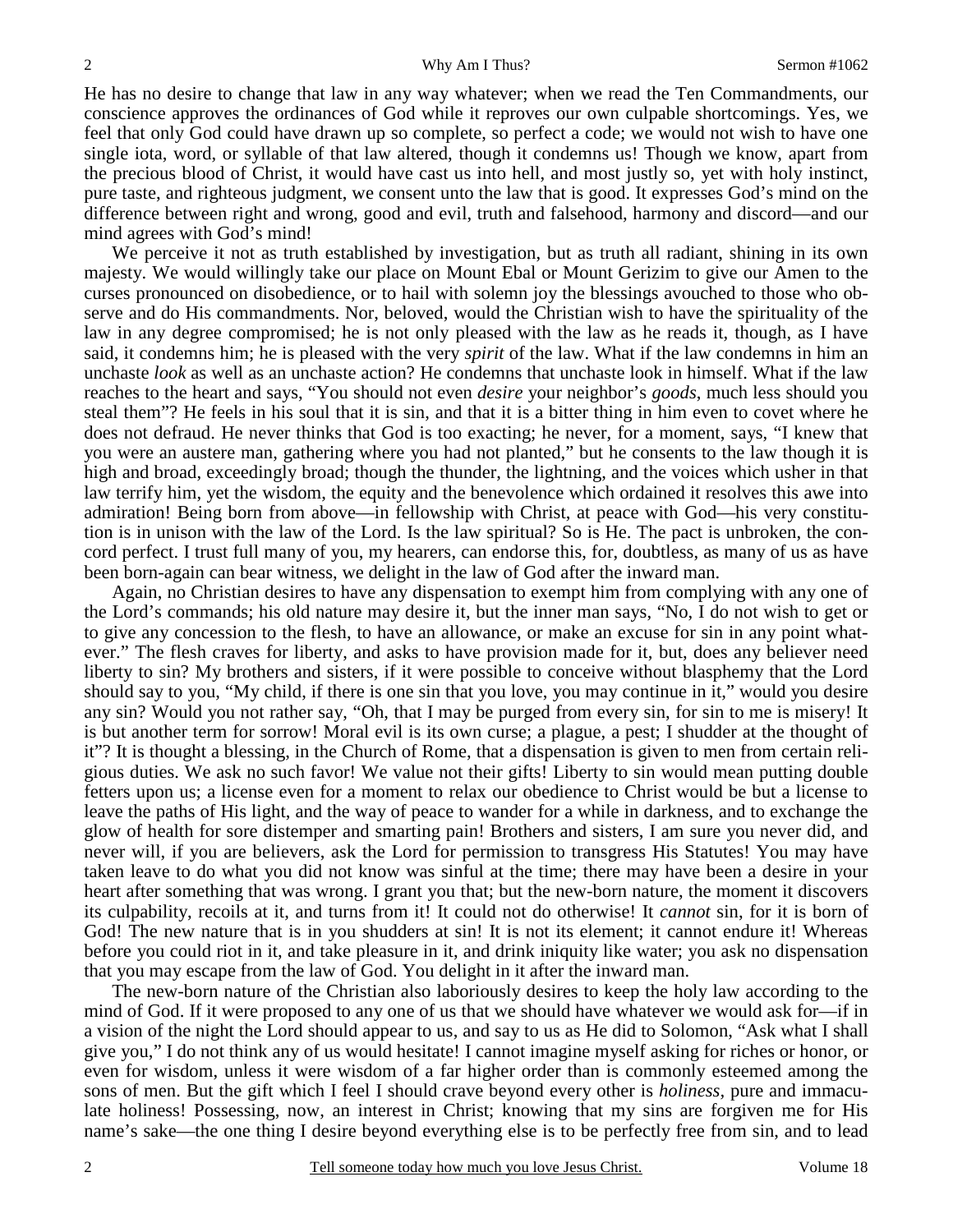He has no desire to change that law in any way whatever; when we read the Ten Commandments, our conscience approves the ordinances of God while it reproves our own culpable shortcomings. Yes, we feel that only God could have drawn up so complete, so perfect a code; we would not wish to have one single iota, word, or syllable of that law altered, though it condemns us! Though we know, apart from the precious blood of Christ, it would have cast us into hell, and most justly so, yet with holy instinct, pure taste, and righteous judgment, we consent unto the law that is good. It expresses God's mind on the difference between right and wrong, good and evil, truth and falsehood, harmony and discord—and our mind agrees with God's mind!

We perceive it not as truth established by investigation, but as truth all radiant, shining in its own majesty. We would willingly take our place on Mount Ebal or Mount Gerizim to give our Amen to the curses pronounced on disobedience, or to hail with solemn joy the blessings avouched to those who observe and do His commandments. Nor, beloved, would the Christian wish to have the spirituality of the law in any degree compromised; he is not only pleased with the law as he reads it, though, as I have said, it condemns him; he is pleased with the very *spirit* of the law. What if the law condemns in him an unchaste *look* as well as an unchaste action? He condemns that unchaste look in himself. What if the law reaches to the heart and says, "You should not even *desire* your neighbor's *goods*, much less should you steal them"? He feels in his soul that it is sin, and that it is a bitter thing in him even to covet where he does not defraud. He never thinks that God is too exacting; he never, for a moment, says, "I knew that you were an austere man, gathering where you had not planted," but he consents to the law though it is high and broad, exceedingly broad; though the thunder, the lightning, and the voices which usher in that law terrify him, yet the wisdom, the equity and the benevolence which ordained it resolves this awe into admiration! Being born from above—in fellowship with Christ, at peace with God—his very constitution is in unison with the law of the Lord. Is the law spiritual? So is He. The pact is unbroken, the concord perfect. I trust full many of you, my hearers, can endorse this, for, doubtless, as many of us as have been born-again can bear witness, we delight in the law of God after the inward man.

Again, no Christian desires to have any dispensation to exempt him from complying with any one of the Lord's commands; his old nature may desire it, but the inner man says, "No, I do not wish to get or to give any concession to the flesh, to have an allowance, or make an excuse for sin in any point whatever." The flesh craves for liberty, and asks to have provision made for it, but, does any believer need liberty to sin? My brothers and sisters, if it were possible to conceive without blasphemy that the Lord should say to you, "My child, if there is one sin that you love, you may continue in it," would you desire any sin? Would you not rather say, "Oh, that I may be purged from every sin, for sin to me is misery! It is but another term for sorrow! Moral evil is its own curse; a plague, a pest; I shudder at the thought of it"? It is thought a blessing, in the Church of Rome, that a dispensation is given to men from certain religious duties. We ask no such favor! We value not their gifts! Liberty to sin would mean putting double fetters upon us; a license even for a moment to relax our obedience to Christ would be but a license to leave the paths of His light, and the way of peace to wander for a while in darkness, and to exchange the glow of health for sore distemper and smarting pain! Brothers and sisters, I am sure you never did, and never will, if you are believers, ask the Lord for permission to transgress His Statutes! You may have taken leave to do what you did not know was sinful at the time; there may have been a desire in your heart after something that was wrong. I grant you that; but the new-born nature, the moment it discovers its culpability, recoils at it, and turns from it! It could not do otherwise! It *cannot* sin, for it is born of God! The new nature that is in you shudders at sin! It is not its element; it cannot endure it! Whereas before you could riot in it, and take pleasure in it, and drink iniquity like water; you ask no dispensation that you may escape from the law of God. You delight in it after the inward man.

The new-born nature of the Christian also laboriously desires to keep the holy law according to the mind of God. If it were proposed to any one of us that we should have whatever we would ask for—if in a vision of the night the Lord should appear to us, and say to us as He did to Solomon, "Ask what I shall give you," I do not think any of us would hesitate! I cannot imagine myself asking for riches or honor, or even for wisdom, unless it were wisdom of a far higher order than is commonly esteemed among the sons of men. But the gift which I feel I should crave beyond every other is *holiness,* pure and immaculate holiness! Possessing, now, an interest in Christ; knowing that my sins are forgiven me for His name's sake—the one thing I desire beyond everything else is to be perfectly free from sin, and to lead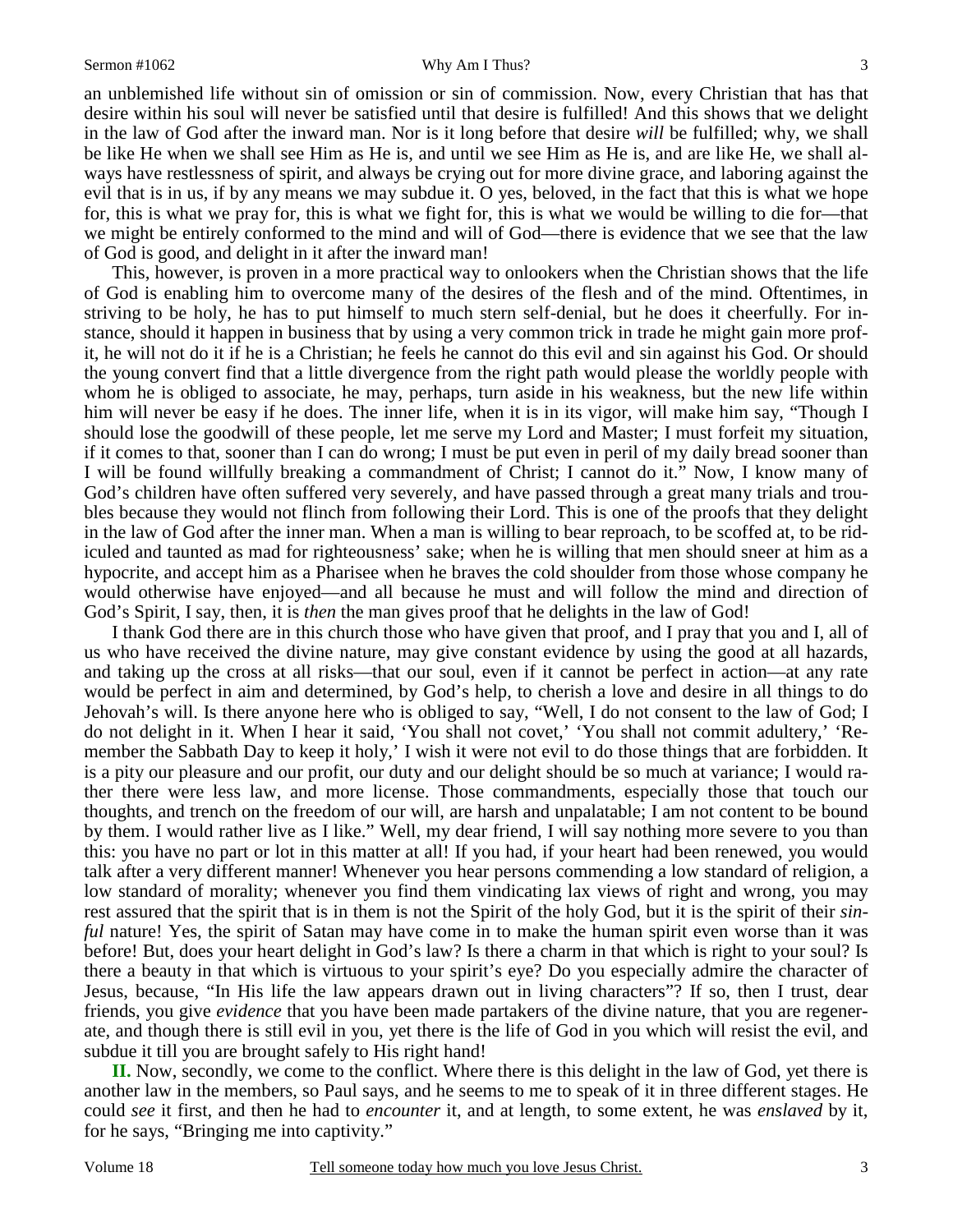### Sermon #1062 Why Am I Thus?

an unblemished life without sin of omission or sin of commission. Now, every Christian that has that desire within his soul will never be satisfied until that desire is fulfilled! And this shows that we delight in the law of God after the inward man. Nor is it long before that desire *will* be fulfilled; why, we shall

be like He when we shall see Him as He is, and until we see Him as He is, and are like He, we shall always have restlessness of spirit, and always be crying out for more divine grace, and laboring against the evil that is in us, if by any means we may subdue it. O yes, beloved, in the fact that this is what we hope for, this is what we pray for, this is what we fight for, this is what we would be willing to die for—that we might be entirely conformed to the mind and will of God—there is evidence that we see that the law of God is good, and delight in it after the inward man!

This, however, is proven in a more practical way to onlookers when the Christian shows that the life of God is enabling him to overcome many of the desires of the flesh and of the mind. Oftentimes, in striving to be holy, he has to put himself to much stern self-denial, but he does it cheerfully. For instance, should it happen in business that by using a very common trick in trade he might gain more profit, he will not do it if he is a Christian; he feels he cannot do this evil and sin against his God. Or should the young convert find that a little divergence from the right path would please the worldly people with whom he is obliged to associate, he may, perhaps, turn aside in his weakness, but the new life within him will never be easy if he does. The inner life, when it is in its vigor, will make him say, "Though I should lose the goodwill of these people, let me serve my Lord and Master; I must forfeit my situation, if it comes to that, sooner than I can do wrong; I must be put even in peril of my daily bread sooner than I will be found willfully breaking a commandment of Christ; I cannot do it." Now, I know many of God's children have often suffered very severely, and have passed through a great many trials and troubles because they would not flinch from following their Lord. This is one of the proofs that they delight in the law of God after the inner man. When a man is willing to bear reproach, to be scoffed at, to be ridiculed and taunted as mad for righteousness' sake; when he is willing that men should sneer at him as a hypocrite, and accept him as a Pharisee when he braves the cold shoulder from those whose company he would otherwise have enjoyed—and all because he must and will follow the mind and direction of God's Spirit, I say, then, it is *then* the man gives proof that he delights in the law of God!

I thank God there are in this church those who have given that proof, and I pray that you and I, all of us who have received the divine nature, may give constant evidence by using the good at all hazards, and taking up the cross at all risks—that our soul, even if it cannot be perfect in action—at any rate would be perfect in aim and determined, by God's help, to cherish a love and desire in all things to do Jehovah's will. Is there anyone here who is obliged to say, "Well, I do not consent to the law of God; I do not delight in it. When I hear it said, 'You shall not covet,' 'You shall not commit adultery,' 'Remember the Sabbath Day to keep it holy,' I wish it were not evil to do those things that are forbidden. It is a pity our pleasure and our profit, our duty and our delight should be so much at variance; I would rather there were less law, and more license. Those commandments, especially those that touch our thoughts, and trench on the freedom of our will, are harsh and unpalatable; I am not content to be bound by them. I would rather live as I like." Well, my dear friend, I will say nothing more severe to you than this: you have no part or lot in this matter at all! If you had, if your heart had been renewed, you would talk after a very different manner! Whenever you hear persons commending a low standard of religion, a low standard of morality; whenever you find them vindicating lax views of right and wrong, you may rest assured that the spirit that is in them is not the Spirit of the holy God, but it is the spirit of their *sinful* nature! Yes, the spirit of Satan may have come in to make the human spirit even worse than it was before! But, does your heart delight in God's law? Is there a charm in that which is right to your soul? Is there a beauty in that which is virtuous to your spirit's eye? Do you especially admire the character of Jesus, because, "In His life the law appears drawn out in living characters"? If so, then I trust, dear friends, you give *evidence* that you have been made partakers of the divine nature, that you are regenerate, and though there is still evil in you, yet there is the life of God in you which will resist the evil, and subdue it till you are brought safely to His right hand!

**II.** Now, secondly, we come to the conflict. Where there is this delight in the law of God, yet there is another law in the members, so Paul says, and he seems to me to speak of it in three different stages. He could *see* it first, and then he had to *encounter* it, and at length, to some extent, he was *enslaved* by it, for he says, "Bringing me into captivity."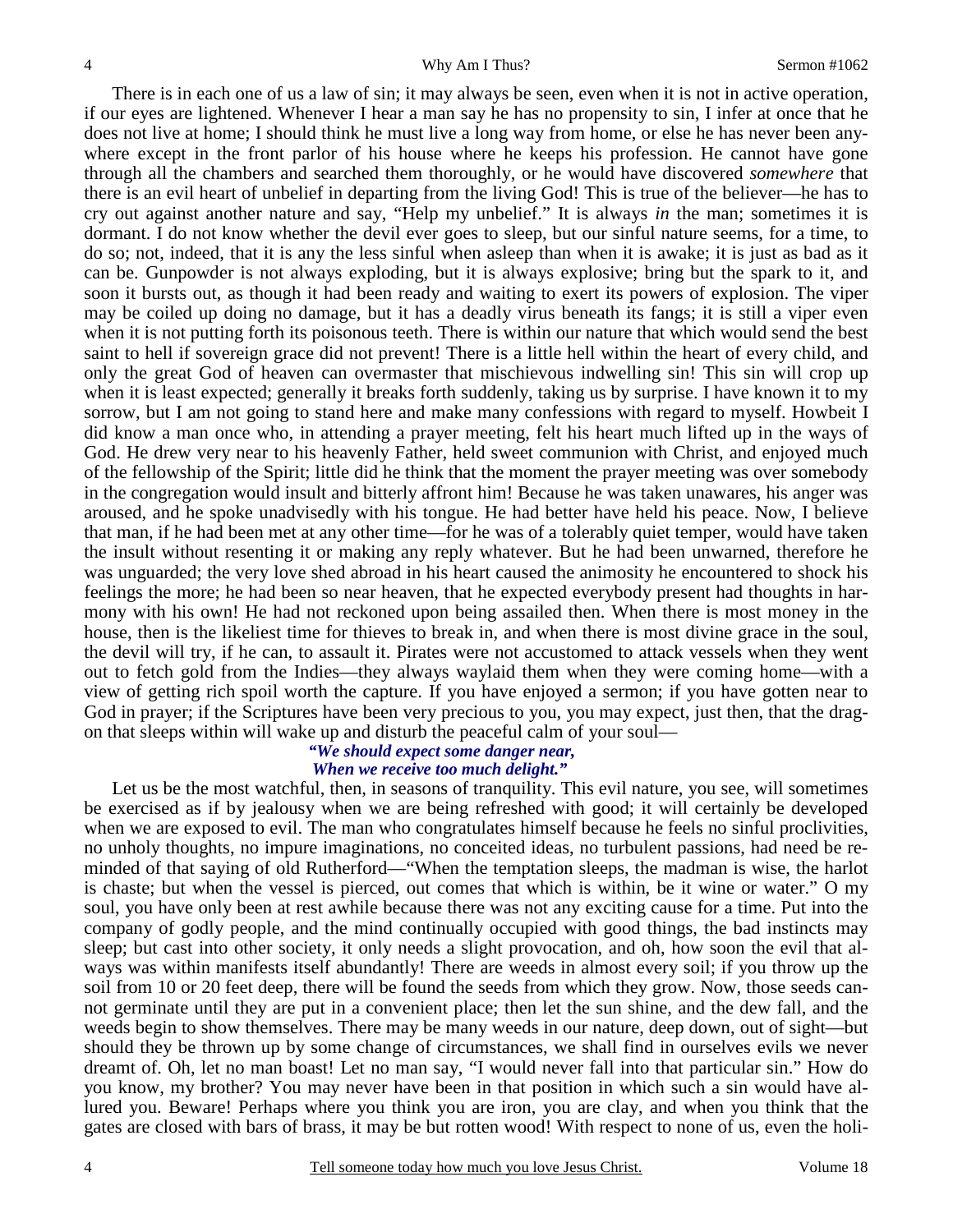There is in each one of us a law of sin; it may always be seen, even when it is not in active operation, if our eyes are lightened. Whenever I hear a man say he has no propensity to sin, I infer at once that he does not live at home; I should think he must live a long way from home, or else he has never been anywhere except in the front parlor of his house where he keeps his profession. He cannot have gone through all the chambers and searched them thoroughly, or he would have discovered *somewhere* that there is an evil heart of unbelief in departing from the living God! This is true of the believer—he has to cry out against another nature and say, "Help my unbelief." It is always *in* the man; sometimes it is dormant. I do not know whether the devil ever goes to sleep, but our sinful nature seems, for a time, to do so; not, indeed, that it is any the less sinful when asleep than when it is awake; it is just as bad as it can be. Gunpowder is not always exploding, but it is always explosive; bring but the spark to it, and soon it bursts out, as though it had been ready and waiting to exert its powers of explosion. The viper may be coiled up doing no damage, but it has a deadly virus beneath its fangs; it is still a viper even when it is not putting forth its poisonous teeth. There is within our nature that which would send the best saint to hell if sovereign grace did not prevent! There is a little hell within the heart of every child, and only the great God of heaven can overmaster that mischievous indwelling sin! This sin will crop up when it is least expected; generally it breaks forth suddenly, taking us by surprise. I have known it to my sorrow, but I am not going to stand here and make many confessions with regard to myself. Howbeit I did know a man once who, in attending a prayer meeting, felt his heart much lifted up in the ways of God. He drew very near to his heavenly Father, held sweet communion with Christ, and enjoyed much of the fellowship of the Spirit; little did he think that the moment the prayer meeting was over somebody in the congregation would insult and bitterly affront him! Because he was taken unawares, his anger was aroused, and he spoke unadvisedly with his tongue. He had better have held his peace. Now, I believe that man, if he had been met at any other time—for he was of a tolerably quiet temper, would have taken the insult without resenting it or making any reply whatever. But he had been unwarned, therefore he was unguarded; the very love shed abroad in his heart caused the animosity he encountered to shock his feelings the more; he had been so near heaven, that he expected everybody present had thoughts in harmony with his own! He had not reckoned upon being assailed then. When there is most money in the house, then is the likeliest time for thieves to break in, and when there is most divine grace in the soul, the devil will try, if he can, to assault it. Pirates were not accustomed to attack vessels when they went out to fetch gold from the Indies—they always waylaid them when they were coming home—with a view of getting rich spoil worth the capture. If you have enjoyed a sermon; if you have gotten near to God in prayer; if the Scriptures have been very precious to you, you may expect, just then, that the dragon that sleeps within will wake up and disturb the peaceful calm of your soul—

## *"We should expect some danger near, When we receive too much delight."*

 Let us be the most watchful, then, in seasons of tranquility. This evil nature, you see, will sometimes be exercised as if by jealousy when we are being refreshed with good; it will certainly be developed when we are exposed to evil. The man who congratulates himself because he feels no sinful proclivities, no unholy thoughts, no impure imaginations, no conceited ideas, no turbulent passions, had need be reminded of that saying of old Rutherford—"When the temptation sleeps, the madman is wise, the harlot is chaste; but when the vessel is pierced, out comes that which is within, be it wine or water." O my soul, you have only been at rest awhile because there was not any exciting cause for a time. Put into the company of godly people, and the mind continually occupied with good things, the bad instincts may sleep; but cast into other society, it only needs a slight provocation, and oh, how soon the evil that always was within manifests itself abundantly! There are weeds in almost every soil; if you throw up the soil from 10 or 20 feet deep, there will be found the seeds from which they grow. Now, those seeds cannot germinate until they are put in a convenient place; then let the sun shine, and the dew fall, and the weeds begin to show themselves. There may be many weeds in our nature, deep down, out of sight—but should they be thrown up by some change of circumstances, we shall find in ourselves evils we never dreamt of. Oh, let no man boast! Let no man say, "I would never fall into that particular sin." How do you know, my brother? You may never have been in that position in which such a sin would have allured you. Beware! Perhaps where you think you are iron, you are clay, and when you think that the gates are closed with bars of brass, it may be but rotten wood! With respect to none of us, even the holi-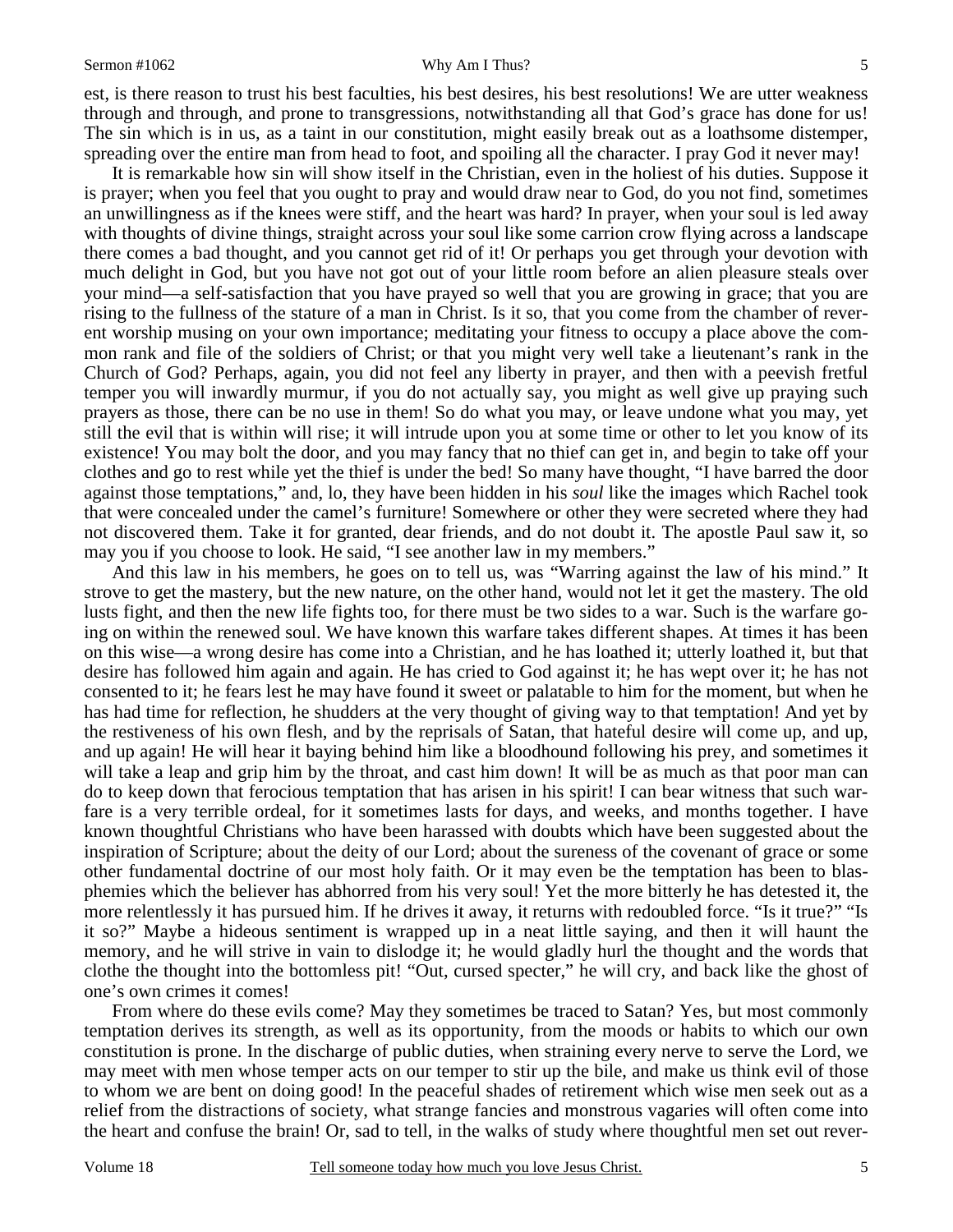#### Sermon #1062 Why Am I Thus?

est, is there reason to trust his best faculties, his best desires, his best resolutions! We are utter weakness through and through, and prone to transgressions, notwithstanding all that God's grace has done for us! The sin which is in us, as a taint in our constitution, might easily break out as a loathsome distemper, spreading over the entire man from head to foot, and spoiling all the character. I pray God it never may!

 It is remarkable how sin will show itself in the Christian, even in the holiest of his duties. Suppose it is prayer; when you feel that you ought to pray and would draw near to God, do you not find, sometimes an unwillingness as if the knees were stiff, and the heart was hard? In prayer, when your soul is led away with thoughts of divine things, straight across your soul like some carrion crow flying across a landscape there comes a bad thought, and you cannot get rid of it! Or perhaps you get through your devotion with much delight in God, but you have not got out of your little room before an alien pleasure steals over your mind—a self-satisfaction that you have prayed so well that you are growing in grace; that you are rising to the fullness of the stature of a man in Christ. Is it so, that you come from the chamber of reverent worship musing on your own importance; meditating your fitness to occupy a place above the common rank and file of the soldiers of Christ; or that you might very well take a lieutenant's rank in the Church of God? Perhaps, again, you did not feel any liberty in prayer, and then with a peevish fretful temper you will inwardly murmur, if you do not actually say, you might as well give up praying such prayers as those, there can be no use in them! So do what you may, or leave undone what you may, yet still the evil that is within will rise; it will intrude upon you at some time or other to let you know of its existence! You may bolt the door, and you may fancy that no thief can get in, and begin to take off your clothes and go to rest while yet the thief is under the bed! So many have thought, "I have barred the door against those temptations," and, lo, they have been hidden in his *soul* like the images which Rachel took that were concealed under the camel's furniture! Somewhere or other they were secreted where they had not discovered them. Take it for granted, dear friends, and do not doubt it. The apostle Paul saw it, so may you if you choose to look. He said, "I see another law in my members."

And this law in his members, he goes on to tell us, was "Warring against the law of his mind." It strove to get the mastery, but the new nature, on the other hand, would not let it get the mastery. The old lusts fight, and then the new life fights too, for there must be two sides to a war. Such is the warfare going on within the renewed soul. We have known this warfare takes different shapes. At times it has been on this wise—a wrong desire has come into a Christian, and he has loathed it; utterly loathed it, but that desire has followed him again and again. He has cried to God against it; he has wept over it; he has not consented to it; he fears lest he may have found it sweet or palatable to him for the moment, but when he has had time for reflection, he shudders at the very thought of giving way to that temptation! And yet by the restiveness of his own flesh, and by the reprisals of Satan, that hateful desire will come up, and up, and up again! He will hear it baying behind him like a bloodhound following his prey, and sometimes it will take a leap and grip him by the throat, and cast him down! It will be as much as that poor man can do to keep down that ferocious temptation that has arisen in his spirit! I can bear witness that such warfare is a very terrible ordeal, for it sometimes lasts for days, and weeks, and months together. I have known thoughtful Christians who have been harassed with doubts which have been suggested about the inspiration of Scripture; about the deity of our Lord; about the sureness of the covenant of grace or some other fundamental doctrine of our most holy faith. Or it may even be the temptation has been to blasphemies which the believer has abhorred from his very soul! Yet the more bitterly he has detested it, the more relentlessly it has pursued him. If he drives it away, it returns with redoubled force. "Is it true?" "Is it so?" Maybe a hideous sentiment is wrapped up in a neat little saying, and then it will haunt the memory, and he will strive in vain to dislodge it; he would gladly hurl the thought and the words that clothe the thought into the bottomless pit! "Out, cursed specter," he will cry, and back like the ghost of one's own crimes it comes!

From where do these evils come? May they sometimes be traced to Satan? Yes, but most commonly temptation derives its strength, as well as its opportunity, from the moods or habits to which our own constitution is prone. In the discharge of public duties, when straining every nerve to serve the Lord, we may meet with men whose temper acts on our temper to stir up the bile, and make us think evil of those to whom we are bent on doing good! In the peaceful shades of retirement which wise men seek out as a relief from the distractions of society, what strange fancies and monstrous vagaries will often come into the heart and confuse the brain! Or, sad to tell, in the walks of study where thoughtful men set out rever-

5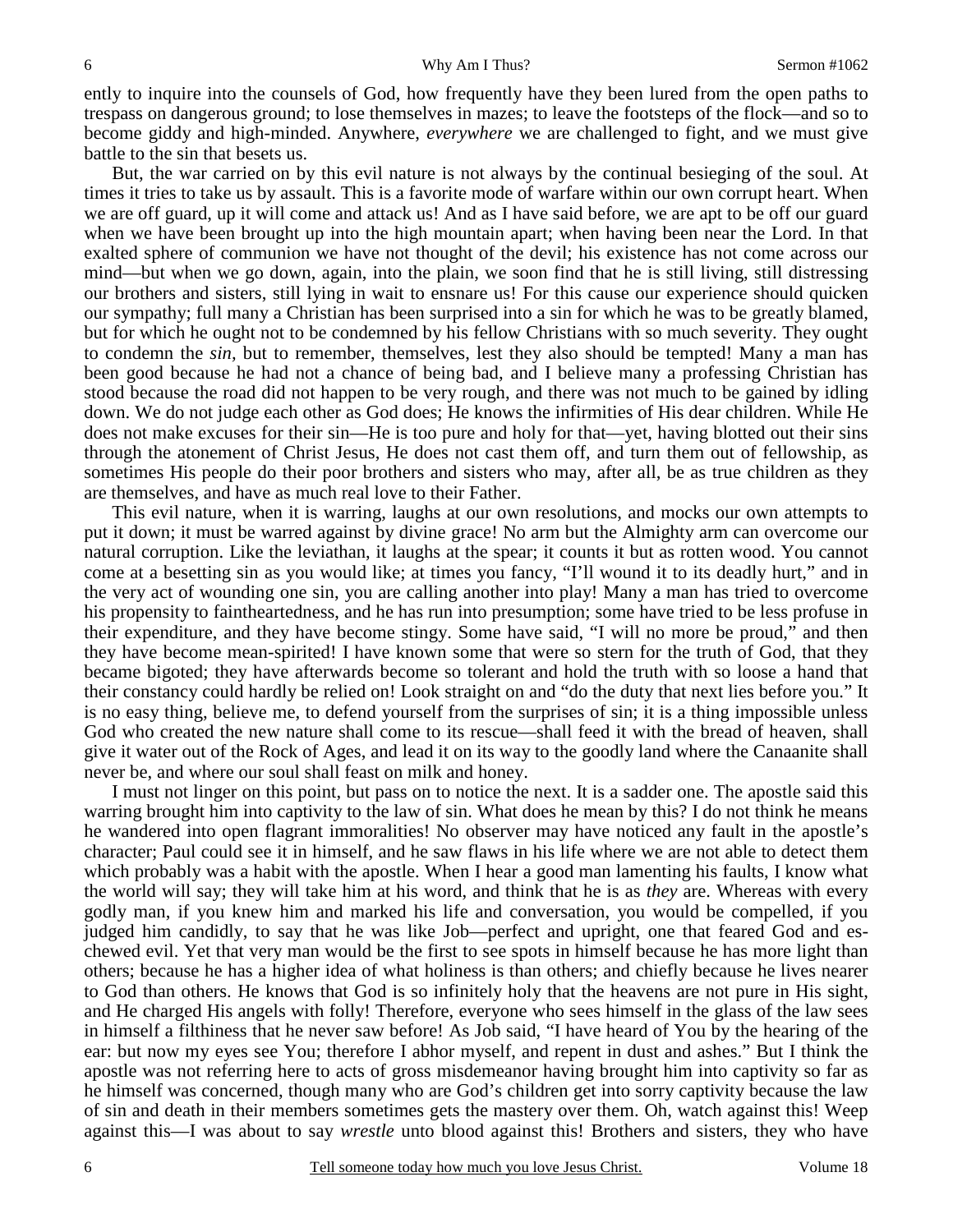ently to inquire into the counsels of God, how frequently have they been lured from the open paths to trespass on dangerous ground; to lose themselves in mazes; to leave the footsteps of the flock—and so to become giddy and high-minded. Anywhere, *everywhere* we are challenged to fight, and we must give battle to the sin that besets us.

But, the war carried on by this evil nature is not always by the continual besieging of the soul. At times it tries to take us by assault. This is a favorite mode of warfare within our own corrupt heart. When we are off guard, up it will come and attack us! And as I have said before, we are apt to be off our guard when we have been brought up into the high mountain apart; when having been near the Lord. In that exalted sphere of communion we have not thought of the devil; his existence has not come across our mind—but when we go down, again, into the plain, we soon find that he is still living, still distressing our brothers and sisters, still lying in wait to ensnare us! For this cause our experience should quicken our sympathy; full many a Christian has been surprised into a sin for which he was to be greatly blamed, but for which he ought not to be condemned by his fellow Christians with so much severity. They ought to condemn the *sin,* but to remember, themselves, lest they also should be tempted! Many a man has been good because he had not a chance of being bad, and I believe many a professing Christian has stood because the road did not happen to be very rough, and there was not much to be gained by idling down. We do not judge each other as God does; He knows the infirmities of His dear children. While He does not make excuses for their sin—He is too pure and holy for that—yet, having blotted out their sins through the atonement of Christ Jesus, He does not cast them off, and turn them out of fellowship, as sometimes His people do their poor brothers and sisters who may, after all, be as true children as they are themselves, and have as much real love to their Father.

This evil nature, when it is warring, laughs at our own resolutions, and mocks our own attempts to put it down; it must be warred against by divine grace! No arm but the Almighty arm can overcome our natural corruption. Like the leviathan, it laughs at the spear; it counts it but as rotten wood. You cannot come at a besetting sin as you would like; at times you fancy, "I'll wound it to its deadly hurt," and in the very act of wounding one sin, you are calling another into play! Many a man has tried to overcome his propensity to faintheartedness, and he has run into presumption; some have tried to be less profuse in their expenditure, and they have become stingy. Some have said, "I will no more be proud," and then they have become mean-spirited! I have known some that were so stern for the truth of God, that they became bigoted; they have afterwards become so tolerant and hold the truth with so loose a hand that their constancy could hardly be relied on! Look straight on and "do the duty that next lies before you." It is no easy thing, believe me, to defend yourself from the surprises of sin; it is a thing impossible unless God who created the new nature shall come to its rescue—shall feed it with the bread of heaven, shall give it water out of the Rock of Ages, and lead it on its way to the goodly land where the Canaanite shall never be, and where our soul shall feast on milk and honey.

I must not linger on this point, but pass on to notice the next. It is a sadder one. The apostle said this warring brought him into captivity to the law of sin. What does he mean by this? I do not think he means he wandered into open flagrant immoralities! No observer may have noticed any fault in the apostle's character; Paul could see it in himself, and he saw flaws in his life where we are not able to detect them which probably was a habit with the apostle. When I hear a good man lamenting his faults, I know what the world will say; they will take him at his word, and think that he is as *they* are. Whereas with every godly man, if you knew him and marked his life and conversation, you would be compelled, if you judged him candidly, to say that he was like Job—perfect and upright, one that feared God and eschewed evil. Yet that very man would be the first to see spots in himself because he has more light than others; because he has a higher idea of what holiness is than others; and chiefly because he lives nearer to God than others. He knows that God is so infinitely holy that the heavens are not pure in His sight, and He charged His angels with folly! Therefore, everyone who sees himself in the glass of the law sees in himself a filthiness that he never saw before! As Job said, "I have heard of You by the hearing of the ear: but now my eyes see You; therefore I abhor myself, and repent in dust and ashes." But I think the apostle was not referring here to acts of gross misdemeanor having brought him into captivity so far as he himself was concerned, though many who are God's children get into sorry captivity because the law of sin and death in their members sometimes gets the mastery over them. Oh, watch against this! Weep against this—I was about to say *wrestle* unto blood against this! Brothers and sisters, they who have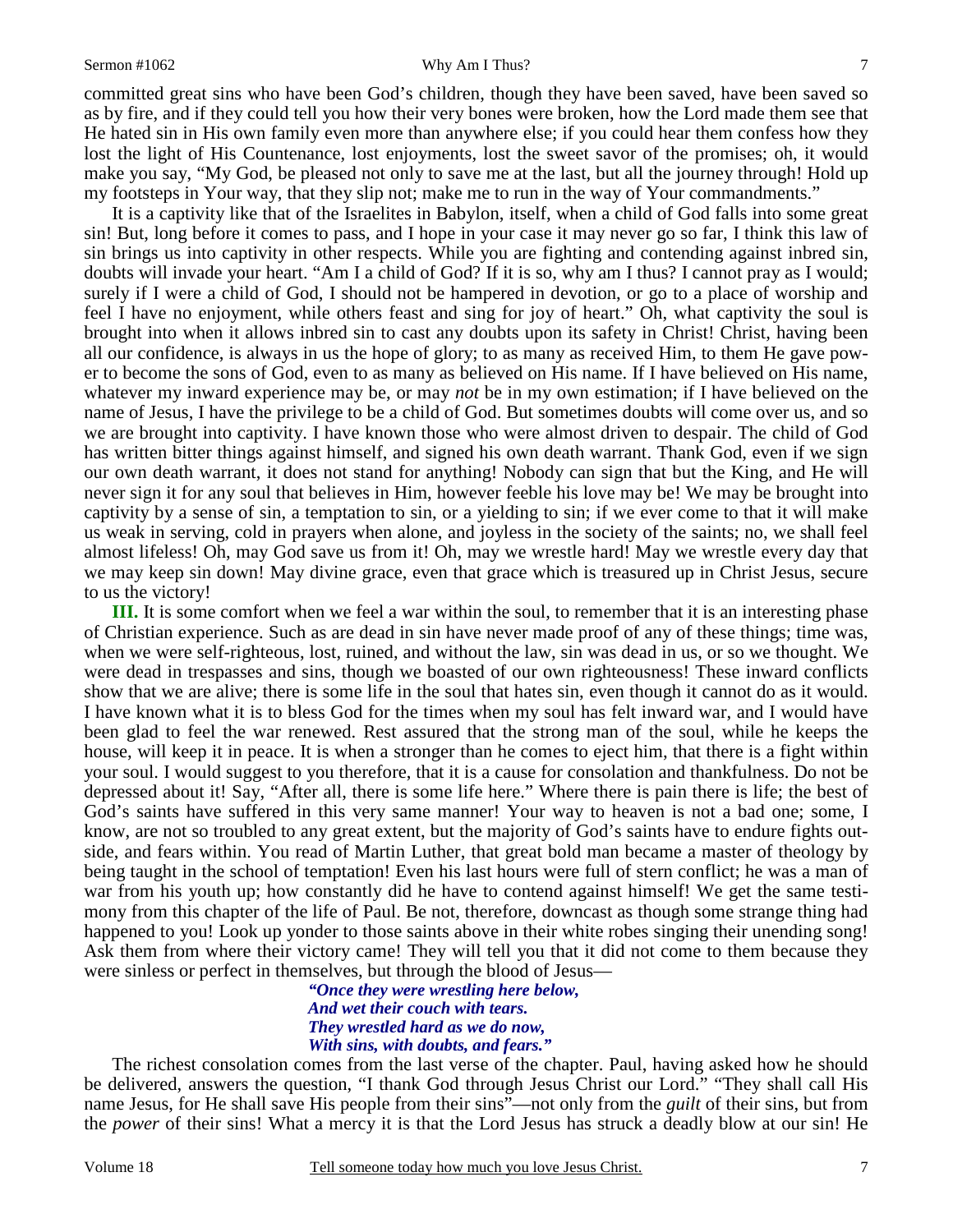### Sermon #1062 Why Am I Thus?

7

committed great sins who have been God's children, though they have been saved, have been saved so as by fire, and if they could tell you how their very bones were broken, how the Lord made them see that He hated sin in His own family even more than anywhere else; if you could hear them confess how they lost the light of His Countenance, lost enjoyments, lost the sweet savor of the promises; oh, it would make you say, "My God, be pleased not only to save me at the last, but all the journey through! Hold up my footsteps in Your way, that they slip not; make me to run in the way of Your commandments."

It is a captivity like that of the Israelites in Babylon, itself, when a child of God falls into some great sin! But, long before it comes to pass, and I hope in your case it may never go so far, I think this law of sin brings us into captivity in other respects. While you are fighting and contending against inbred sin, doubts will invade your heart. "Am I a child of God? If it is so, why am I thus? I cannot pray as I would; surely if I were a child of God, I should not be hampered in devotion, or go to a place of worship and feel I have no enjoyment, while others feast and sing for joy of heart." Oh, what captivity the soul is brought into when it allows inbred sin to cast any doubts upon its safety in Christ! Christ, having been all our confidence, is always in us the hope of glory; to as many as received Him, to them He gave power to become the sons of God, even to as many as believed on His name. If I have believed on His name, whatever my inward experience may be, or may *not* be in my own estimation; if I have believed on the name of Jesus, I have the privilege to be a child of God. But sometimes doubts will come over us, and so we are brought into captivity. I have known those who were almost driven to despair. The child of God has written bitter things against himself, and signed his own death warrant. Thank God, even if we sign our own death warrant, it does not stand for anything! Nobody can sign that but the King, and He will never sign it for any soul that believes in Him, however feeble his love may be! We may be brought into captivity by a sense of sin, a temptation to sin, or a yielding to sin; if we ever come to that it will make us weak in serving, cold in prayers when alone, and joyless in the society of the saints; no, we shall feel almost lifeless! Oh, may God save us from it! Oh, may we wrestle hard! May we wrestle every day that we may keep sin down! May divine grace, even that grace which is treasured up in Christ Jesus, secure to us the victory!

**III.** It is some comfort when we feel a war within the soul, to remember that it is an interesting phase of Christian experience. Such as are dead in sin have never made proof of any of these things; time was, when we were self-righteous, lost, ruined, and without the law, sin was dead in us, or so we thought. We were dead in trespasses and sins, though we boasted of our own righteousness! These inward conflicts show that we are alive; there is some life in the soul that hates sin, even though it cannot do as it would. I have known what it is to bless God for the times when my soul has felt inward war, and I would have been glad to feel the war renewed. Rest assured that the strong man of the soul, while he keeps the house, will keep it in peace. It is when a stronger than he comes to eject him, that there is a fight within your soul. I would suggest to you therefore, that it is a cause for consolation and thankfulness. Do not be depressed about it! Say, "After all, there is some life here." Where there is pain there is life; the best of God's saints have suffered in this very same manner! Your way to heaven is not a bad one; some, I know, are not so troubled to any great extent, but the majority of God's saints have to endure fights outside, and fears within. You read of Martin Luther, that great bold man became a master of theology by being taught in the school of temptation! Even his last hours were full of stern conflict; he was a man of war from his youth up; how constantly did he have to contend against himself! We get the same testimony from this chapter of the life of Paul. Be not, therefore, downcast as though some strange thing had happened to you! Look up yonder to those saints above in their white robes singing their unending song! Ask them from where their victory came! They will tell you that it did not come to them because they were sinless or perfect in themselves, but through the blood of Jesus—

*"Once they were wrestling here below, And wet their couch with tears. They wrestled hard as we do now, With sins, with doubts, and fears."* 

The richest consolation comes from the last verse of the chapter. Paul, having asked how he should be delivered, answers the question, "I thank God through Jesus Christ our Lord." "They shall call His name Jesus, for He shall save His people from their sins"—not only from the *guilt* of their sins, but from the *power* of their sins! What a mercy it is that the Lord Jesus has struck a deadly blow at our sin! He